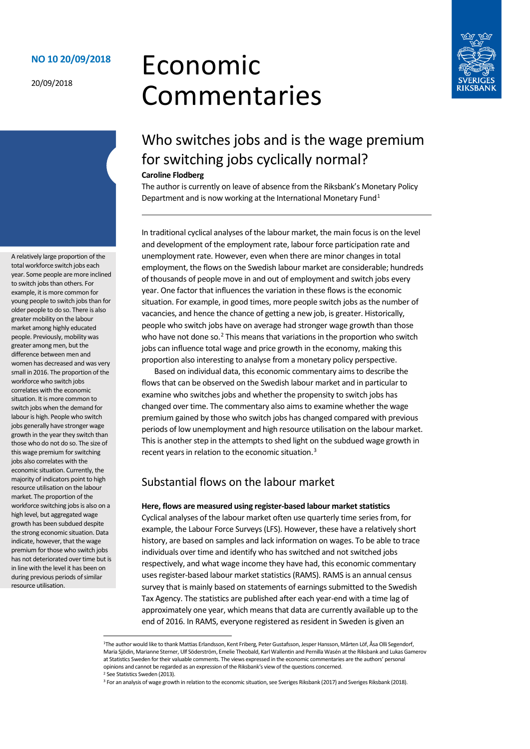### **NO 10 20/09/2018**

20/09/2018

# Economic Commentaries



# Who switches jobs and is the wage premium for switching jobs cyclically normal?

#### **Caroline Flodberg**

The author is currently on leave of absence from the Riksbank's Monetary Policy Department and is now working at the International Monetary Fund $1$ 

In traditional cyclical analyses of the labour market, the main focus is on the level and development of the employment rate, labour force participation rate and unemployment rate. However, even when there are minor changes in total employment, the flows on the Swedish labour market are considerable; hundreds of thousands of people move in and out of employment and switch jobs every year. One factor that influences the variation in these flows is the economic situation. For example, in good times, more people switch jobs as the number of vacancies, and hence the chance of getting a new job, is greater. Historically, people who switch jobs have on average had stronger wage growth than those who have not done so. $<sup>2</sup>$  $<sup>2</sup>$  $<sup>2</sup>$  This means that variations in the proportion who switch</sup> jobs can influence total wage and price growth in the economy, making this proportion also interesting to analyse from a monetary policy perspective.

Based on individual data, this economic commentary aims to describe the flows that can be observed on the Swedish labour market and in particular to examine who switches jobs and whether the propensity to switch jobs has changed over time. The commentary also aims to examine whether the wage premium gained by those who switch jobs has changed compared with previous periods of low unemployment and high resource utilisation on the labour market. This is another step in the attempts to shed light on the subdued wage growth in recent years in relation to the economic situation.[3](#page-0-2)

# Substantial flows on the labour market

#### **Here, flows are measured using register-based labour market statistics**

Cyclical analyses of the labour market often use quarterly time series from, for example, the Labour Force Surveys (LFS). However, these have a relatively short history, are based on samples and lack information on wages. To be able to trace individuals over time and identify who has switched and not switched jobs respectively, and what wage income they have had, this economic commentary uses register-based labour market statistics (RAMS). RAMS is an annual census survey that is mainly based on statements of earnings submitted to the Swedish Tax Agency. The statistics are published after each year-end with a time lag of approximately one year, which means that data are currently available up to the end of 2016. In RAMS, everyone registered as resident in Sweden is given an

A relatively large proportion of the total workforce switch jobs each year. Some people are more inclined to switch jobs than others. For example, it is more common for young people to switch jobs than for older people to do so. There is also greater mobility on the labour market among highly educated people. Previously, mobility was greater among men, but the difference between men and women has decreased and was very small in 2016. The proportion of the workforce who switch jobs correlates with the economic situation. It is more common to switch jobs when the demand for labour is high. People who switch jobs generally have stronger wage growth in the year they switch than those who do not do so. The size of this wage premium for switching jobs also correlates with the economic situation. Currently, the majority of indicators point to high resource utilisation on the labour market. The proportion of the workforce switching jobs is also on a high level, but aggregated wage growth has been subdued despite the strong economic situation. Data indicate, however, that the wage premium for those who switch jobs has not deteriorated over time but is in line with the level it has been on during previous periods of similar resource utilisation.

<span id="page-0-0"></span> <sup>1</sup>The author would like to thank Mattias Erlandsson, Kent Friberg, Peter Gustafsson, Jesper Hansson, Mårten Löf, Åsa Olli Segendorf, Maria Sjödin, Marianne Sterner, Ulf Söderström, Emelie Theobald, Karl Wallentin and Pernilla Wasén at the Riksbank and Lukas Gamerov at Statistics Sweden for their valuable comments. The views expressed in the economic commentaries are the authors' personal opinions and cannot be regarded as an expression of the Riksbank's view of the questions concerned.<br><sup>2</sup> See Statistics Sweden (2013).

<span id="page-0-2"></span><span id="page-0-1"></span><sup>&</sup>lt;sup>3</sup> For an analysis of wage growth in relation to the economic situation, see Sveriges Riksbank (2017) and Sveriges Riksbank (2018).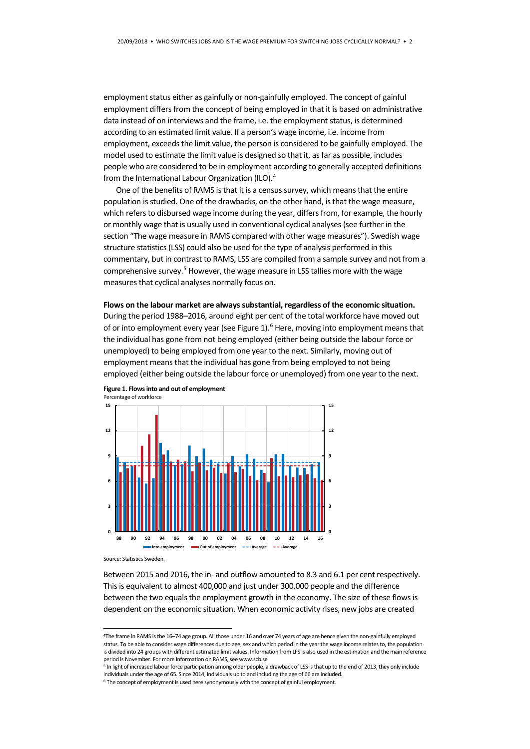employment status either as gainfully or non-gainfully employed. The concept of gainful employment differs from the concept of being employed in that it is based on administrative data instead of on interviews and the frame, i.e. the employment status, is determined according to an estimated limit value. If a person's wage income, i.e. income from employment, exceeds the limit value, the person is considered to be gainfully employed. The model used to estimate the limit value is designed so that it, as far as possible, includes people who are considered to be in employment according to generally accepted definitions from the International Labour Organization (ILO).[4](#page-1-0)

One of the benefits of RAMS is that it is a census survey, which means that the entire population is studied. One of the drawbacks, on the other hand, is that the wage measure, which refers to disbursed wage income during the year, differs from, for example, the hourly or monthly wage that is usually used in conventional cyclical analyses (see further in the section "The wage measure in RAMS compared with other wage measures"). Swedish wage structure statistics (LSS) could also be used for the type of analysis performed in this commentary, but in contrast to RAMS, LSS are compiled from a sample survey and not from a comprehensive survey.<sup>5</sup> However, the wage measure in LSS tallies more with the wage measures that cyclical analyses normally focus on.

#### **Flows on the labour market are always substantial, regardless of the economic situation.**

During the period 1988–2016, around eight per cent of the total workforce have moved out of or into employment every year (see Figure 1).<sup>6</sup> Here, moving into employment means that the individual has gone from not being employed (either being outside the labour force or unemployed) to being employed from one year to the next. Similarly, moving out of employment means that the individual has gone from being employed to not being employed (either being outside the labour force or unemployed) from one year to the next.



**Figure 1. Flows into and out of employment** Percentage of workforce

Source: Statistics Sweden.

Between 2015 and 2016, the in- and outflow amounted to 8.3 and 6.1 per cent respectively. This is equivalent to almost 400,000 and just under 300,000 people and the difference between the two equals the employment growth in the economy. The size of these flows is dependent on the economic situation. When economic activity rises, new jobs are created

<span id="page-1-0"></span> <sup>4</sup>The frame in RAMS is the 16–74 age group. All those under 16 and over 74 years of age are hence given the non-gainfully employed status. To be able to consider wage differences due to age, sex and which period in the year the wage income relates to, the population is divided into 24 groups with different estimated limit values. Information from LFS is also used in the estimation and the main reference period is November. For more information on RAMS, see www.scb.se

<span id="page-1-1"></span><sup>&</sup>lt;sup>5</sup> In light of increased labour force participation among older people, a drawback of LSS is that up to the end of 2013, they only include individuals under the age of 65. Since 2014, individuals up to and including the age of 66 are included.

<span id="page-1-2"></span><sup>&</sup>lt;sup>6</sup> The concept of employment is used here synonymously with the concept of gainful employment.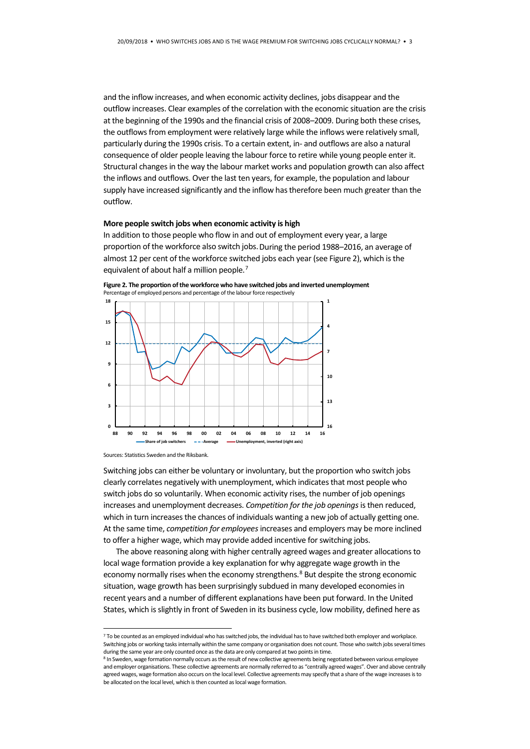and the inflow increases, and when economic activity declines, jobs disappear and the outflow increases. Clear examples of the correlation with the economic situation are the crisis at the beginning of the 1990s and the financial crisis of 2008–2009. During both these crises, the outflows from employment were relatively large while the inflows were relatively small, particularly during the 1990s crisis. To a certain extent, in- and outflows are also a natural consequence of older people leaving the labour force to retire while young people enter it. Structural changes in the way the labour market works and population growth can also affect the inflows and outflows. Over the last ten years, for example, the population and labour supply have increased significantly and the inflow has therefore been much greater than the outflow.

#### **More people switch jobs when economic activity is high**

In addition to those people who flow in and out of employment every year, a large proportion of the workforce also switch jobs.During the period 1988–2016, an average of almost 12 per cent of the workforce switched jobs each year (see Figure 2), which is the equivalent of about half a million people.<sup>[7](#page-2-0)</sup>

**Figure 2. The proportion of the workforce who have switched jobs and inverted unemployment** Percentage of employed persons and percentage of the labour force respectively



Sources: Statistics Sweden and the Riksbank.

Switching jobs can either be voluntary or involuntary, but the proportion who switch jobs clearly correlates negatively with unemployment, which indicates that most people who switch jobs do so voluntarily. When economic activity rises, the number of job openings increases and unemployment decreases. *Competition for the job openings*is then reduced, which in turn increases the chances of individuals wanting a new job of actually getting one. At the same time, *competition for employees*increases and employers may be more inclined to offer a higher wage, which may provide added incentive for switching jobs.

The above reasoning along with higher centrally agreed wages and greater allocations to local wage formation provide a key explanation for why aggregate wage growth in the economy normally rises when the economy strengthens.<sup>[8](#page-2-1)</sup> But despite the strong economic situation, wage growth has been surprisingly subdued in many developed economies in recent years and a number of different explanations have been put forward. In the United States, which is slightly in front of Sweden in its business cycle, low mobility, defined here as

<span id="page-2-0"></span><sup>&</sup>lt;sup>7</sup> To be counted as an employed individual who has switched jobs, the individual has to have switched both employer and workplace. Switching jobs or working tasks internally within the same company or organisation does not count. Those who switch jobs several times during the same year are only counted once as the data are only compared at two points

<span id="page-2-1"></span><sup>&</sup>lt;sup>8</sup> In Sweden, wage formation normally occurs as the result of new collective agreements being negotiated between various employee and employer organisations. These collective agreements are normally referred to as "centrally agreed wages". Over and above centrally agreed wages, wage formation also occurs on the local level. Collective agreements may specify that a share of the wage increases is to be allocated on the local level, which is then counted as local wage formation.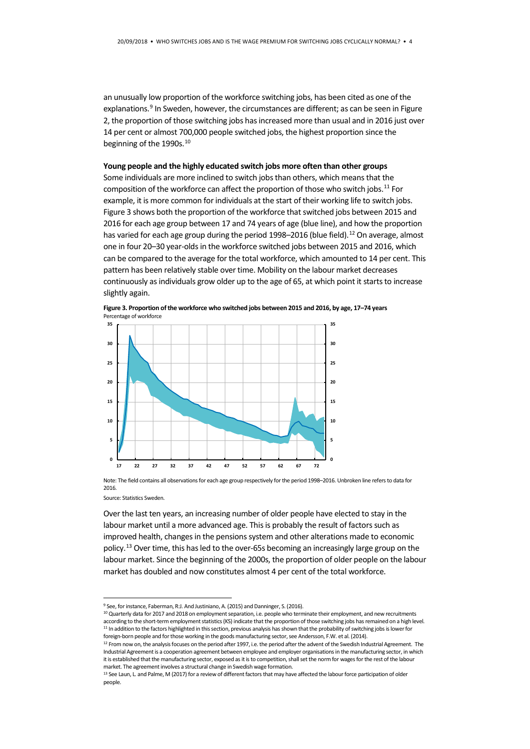an unusually low proportion of the workforce switching jobs, has been cited as one of the explanations.<sup>9</sup> In Sweden, however, the circumstances are different; as can be seen in Figure 2, the proportion of those switching jobs has increased more than usual and in 2016 just over 14 per cent or almost 700,000 people switched jobs, the highest proportion since the beginning of the 1990s.<sup>[10](#page-3-1)</sup>

#### **Young people and the highly educated switch jobs more often than other groups**

Some individuals are more inclined to switch jobs than others, which means that the composition of the workforce can affect the proportion of those who switch jobs.<sup>[11](#page-3-2)</sup> For example, it is more common for individuals at the start of their working life to switch jobs. Figure 3 shows both the proportion of the workforce that switched jobs between 2015 and 2016 for each age group between 17 and 74 years of age (blue line), and how the proportion has varied for each age group during the period 1998-2016 (blue field).<sup>12</sup> On average, almost one in four 20–30 year-olds in the workforce switched jobs between 2015 and 2016, which can be compared to the average for the total workforce, which amounted to 14 per cent. This pattern has been relatively stable over time. Mobility on the labour market decreases continuously as individuals grow older up to the age of 65, at which point it starts to increase slightly again.





Note: The field contains all observations for each age group respectively for the period 1998–2016. Unbroken line refers to data for 2016.

Source: Statistics Sweden.

Over the last ten years, an increasing number of older people have elected to stay in the labour market until a more advanced age. This is probably the result of factors such as improved health, changes in the pensions system and other alterations made to economic policy.[13](#page-3-4) Over time, this has led to the over-65s becoming an increasingly large group on the labour market. Since the beginning of the 2000s, the proportion of older people on the labour market has doubled and now constitutes almost 4 per cent of the total workforce.

<span id="page-3-1"></span><span id="page-3-0"></span><sup>&</sup>lt;sup>9</sup> See, for instance, Faberman, R:J. And Justiniano, A. (2015) and Danninger, S. (2016). 10 Quarterly data for 2017 and 2018 on employment separation, i.e. people who terminate their employment, and new recruitments according to the short-term employment statistics (KS) indicate that the proportion of those switching jobs has remained on a high level.<br><sup>11</sup> In addition to the factors highlighted in this section, previous analysis has s foreign-born people and for those working in the goods manufacturing sector, see Andersson, F.W. et al. (2014).

<span id="page-3-3"></span><span id="page-3-2"></span><sup>&</sup>lt;sup>12</sup> From now on, the analysis focuses on the period after 1997, i.e. the period after the advent of the Swedish Industrial Agreement. The Industrial Agreement is a cooperation agreement between employee and employer organisations in the manufacturing sector, in which it is established that the manufacturing sector, exposed as it is to competition, shall set the norm for wages for the rest of the labour market. The agreement involves a structural change in Swedish wage formation.<br><sup>13</sup> See Laun, L. and Palme, M (2017) for a review of different factors that may have affected the labour force participation of older

<span id="page-3-4"></span>people.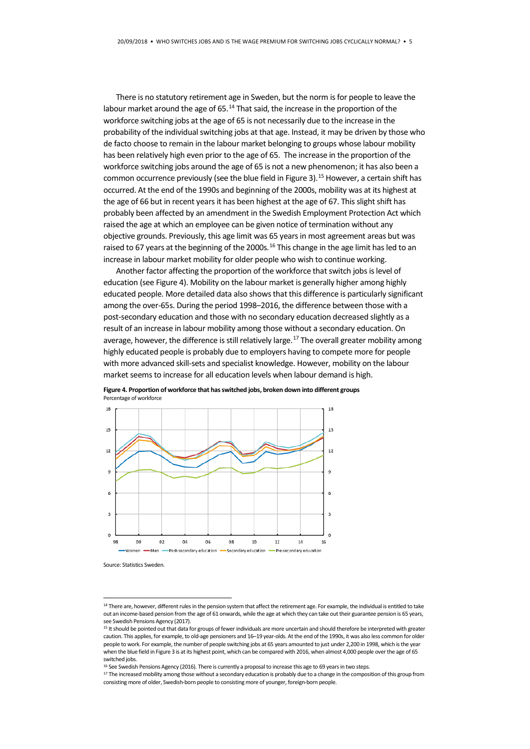There is no statutory retirement age in Sweden, but the norm is for people to leave the labour market around the age of 65.<sup>[14](#page-4-0)</sup> That said, the increase in the proportion of the workforce switching jobs at the age of 65 is not necessarily due to the increase in the probability of the individual switching jobs at that age. Instead, it may be driven by those who de facto choose to remain in the labour market belonging to groups whose labour mobility has been relatively high even prior to the age of 65. The increase in the proportion of the workforce switching jobs around the age of 65 is not a new phenomenon; it has also been a common occurrence previously (see the blue field in Figure 3).<sup>[15](#page-4-1)</sup> However, a certain shift has occurred. At the end of the 1990s and beginning of the 2000s, mobility was at its highest at the age of 66 but in recent years it has been highest at the age of 67. This slight shift has probably been affected by an amendment in the Swedish Employment Protection Act which raised the age at which an employee can be given notice of termination without any objective grounds. Previously, this age limit was 65 years in most agreement areas but was raised to 67 years at the beginning of the 2000s.<sup>[16](#page-4-2)</sup> This change in the age limit has led to an increase in labour market mobility for older people who wish to continue working.

Another factor affecting the proportion of the workforce that switch jobs is level of education (see Figure 4). Mobility on the labour market is generally higher among highly educated people. More detailed data also shows that this difference is particularly significant among the over-65s. During the period 1998–2016, the difference between those with a post-secondary education and those with no secondary education decreased slightly as a result of an increase in labour mobility among those without a secondary education. On average, however, the difference is still relatively large.<sup>17</sup> The overall greater mobility among highly educated people is probably due to employers having to compete more for people with more advanced skill-sets and specialist knowledge. However, mobility on the labour market seems to increase for all education levels when labour demand is high.



**Figure 4. Proportion of workforce that has switched jobs, broken down into different groups** Percentage of workforce

Source: Statistics Sweden.

<span id="page-4-0"></span><sup>&</sup>lt;sup>14</sup> There are, however, different rules in the pension system that affect the retirement age. For example, the individual is entitled to take out an income-based pension from the age of 61 onwards, while the age at which they can take out their guarantee pension is 65 years, see Swedish Pensions Agency (2017).

<span id="page-4-1"></span><sup>&</sup>lt;sup>15</sup> It should be pointed out that data for groups of fewer individuals are more uncertain and should therefore be interpreted with greater caution. This applies, for example, to old-age pensioners and 16–19 year-olds. At the end of the 1990s, it was also less common for older people to work. For example, the number of people switching jobs at 65 years amounted to just under 2,200 in 1998, which is the year when the blue field in Figure 3 is at its highest point, which can be compared with 2016, when almost 4,000 people over the age of 65 switched jobs.

<sup>&</sup>lt;sup>16</sup> See Swedish Pensions Agency (2016). There is currently a proposal to increase this age to 69 years in two steps.

<span id="page-4-3"></span><span id="page-4-2"></span><sup>&</sup>lt;sup>17</sup> The increased mobility among those without a secondary education is probably due to a change in the composition of this group from consisting more of older, Swedish-born people to consisting more of younger, foreign-born people.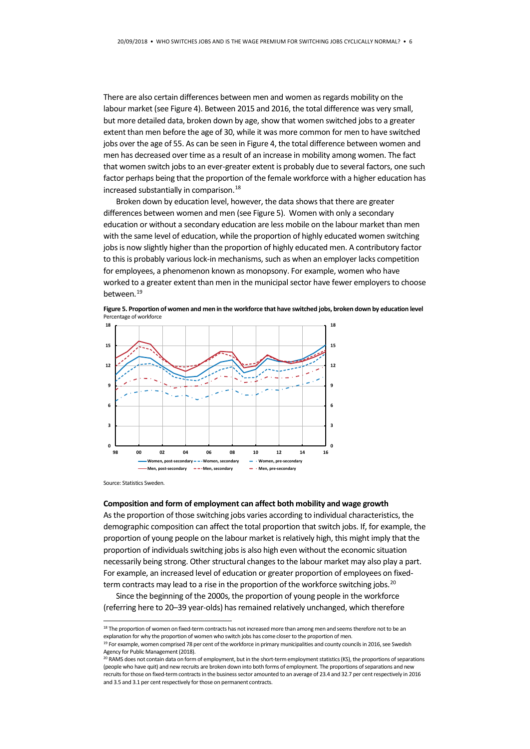There are also certain differences between men and women as regards mobility on the labour market (see Figure 4). Between 2015 and 2016, the total difference was very small, but more detailed data, broken down by age, show that women switched jobs to a greater extent than men before the age of 30, while it was more common for men to have switched jobs over the age of 55. As can be seen in Figure 4, the total difference between women and men has decreased over time as a result of an increase in mobility among women. The fact that women switch jobs to an ever-greater extent is probably due to several factors, one such factor perhaps being that the proportion of the female workforce with a higher education has increased substantially in comparison. [18](#page-5-0)

Broken down by education level, however, the data shows that there are greater differences between women and men (see Figure 5). Women with only a secondary education or without a secondary education are less mobile on the labour market than men with the same level of education, while the proportion of highly educated women switching jobs is now slightly higher than the proportion of highly educated men. A contributory factor to this is probably various lock-in mechanisms, such as when an employer lacks competition for employees, a phenomenon known as monopsony. For example, women who have worked to a greater extent than men in the municipal sector have fewer employers to choose between.[19](#page-5-1)

**Figure 5. Proportion of women and men in the workforce that have switched jobs, broken down by education level** Percentage of workforce



Source: Statistics Sweden.

#### **Composition and form of employment can affect both mobility and wage growth**

As the proportion of those switching jobs varies according to individual characteristics, the demographic composition can affect the total proportion that switch jobs. If, for example, the proportion of young people on the labour market is relatively high, this might imply that the proportion of individuals switching jobs is also high even without the economic situation necessarily being strong. Other structural changes to the labour market may also play a part. For example, an increased level of education or greater proportion of employees on fixedterm contracts may lead to a rise in the proportion of the workforce switching jobs.<sup>20</sup>

Since the beginning of the 2000s, the proportion of young people in the workforce (referring here to 20–39 year-olds) has remained relatively unchanged, which therefore

<span id="page-5-0"></span><sup>&</sup>lt;sup>18</sup> The proportion of women on fixed-term contracts has not increased more than among men and seems therefore not to be an explanation for why the proportion of women who switch jobs has come closer to the proportion of men.

<sup>&</sup>lt;sup>19</sup> For example, women comprised 78 per cent of the workforce in primary municipalities and county councils in 2016, see Swedish Agency for Public Management (2018).

<span id="page-5-2"></span><span id="page-5-1"></span><sup>&</sup>lt;sup>20</sup> RAMS does not contain data on form of employment, but in the short-term employment statistics (KS), the proportions of separations (people who have quit) and new recruits are broken down into both forms of employment. The proportions of separations and new recruits forthose on fixed-term contracts in the business sector amounted to an average of 23.4 and 32.7 per cent respectively in 2016 and 3.5 and 3.1 per cent respectively for those on permanent contracts.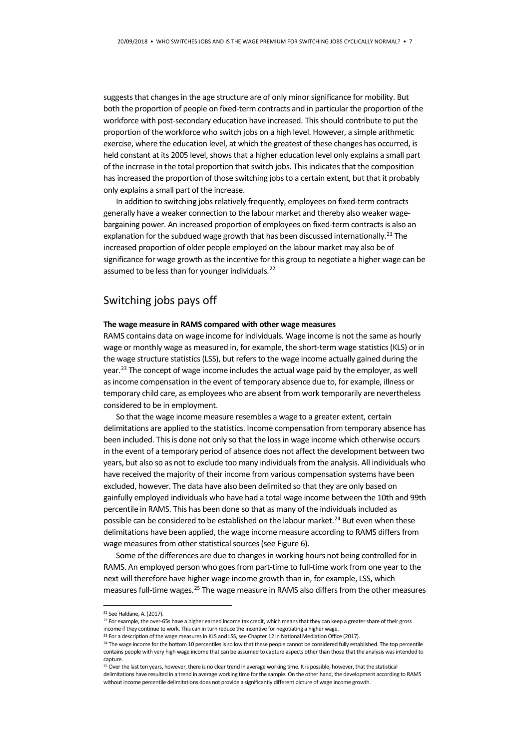suggests that changes in the age structure are of only minor significance for mobility. But both the proportion of people on fixed-term contracts and in particular the proportion of the workforce with post-secondary education have increased. This should contribute to put the proportion of the workforce who switch jobs on a high level. However, a simple arithmetic exercise, where the education level, at which the greatest of these changes has occurred, is held constant at its 2005 level, shows that a higher education level only explains a small part of the increase in the total proportion that switch jobs. This indicates that the composition has increased the proportion of those switching jobs to a certain extent, but that it probably only explains a small part of the increase.

In addition to switching jobs relatively frequently, employees on fixed-term contracts generally have a weaker connection to the labour market and thereby also weaker wagebargaining power. An increased proportion of employees on fixed-term contracts is also an explanation for the subdued wage growth that has been discussed internationally.<sup>[21](#page-6-0)</sup> The increased proportion of older people employed on the labour market may also be of significance for wage growth as the incentive for this group to negotiate a higher wage can be assumed to be less than for younger individuals.<sup>[22](#page-6-1)</sup>

## Switching jobs pays off

#### **The wage measure in RAMS compared with other wage measures**

RAMS contains data on wage income for individuals. Wage income is not the same as hourly wage or monthly wage as measured in, for example, the short-term wage statistics (KLS) or in the wage structure statistics (LSS), but refers to the wage income actually gained during the year.<sup>[23](#page-6-2)</sup> The concept of wage income includes the actual wage paid by the employer, as well as income compensation in the event of temporary absence due to, for example, illness or temporary child care, as employees who are absent from work temporarily are nevertheless considered to be in employment.

So that the wage income measure resembles a wage to a greater extent, certain delimitations are applied to the statistics. Income compensation from temporary absence has been included. This is done not only so that the loss in wage income which otherwise occurs in the event of a temporary period of absence does not affect the development between two years, but also so as not to exclude too many individuals from the analysis. All individuals who have received the majority of their income from various compensation systems have been excluded, however. The data have also been delimited so that they are only based on gainfully employed individuals who have had a total wage income between the 10th and 99th percentile in RAMS. This has been done so that as many of the individuals included as possible can be considered to be established on the labour market.<sup>[24](#page-6-3)</sup> But even when these delimitations have been applied, the wage income measure according to RAMS differs from wage measures from other statistical sources (see Figure 6).

Some of the differences are due to changes in working hours not being controlled for in RAMS. An employed person who goes from part-time to full-time work from one year to the next will therefore have higher wage income growth than in, for example, LSS, which measures full-time wages.<sup>[25](#page-6-4)</sup> The wage measure in RAMS also differs from the other measures

<span id="page-6-1"></span><sup>22</sup> For example, the over-65s have a higher earned income tax credit, which means that they can keep a greater share of their gross income if they continue to work. This can in turn reduce the incentive for negotiating a higher wage.

<span id="page-6-0"></span> <sup>21</sup> See Haldane, A. (2017).

<span id="page-6-2"></span><sup>&</sup>lt;sup>23</sup> For a description of the wage measures in KLS and LSS, see Chapter 12 in National Mediation Office (2017).

<span id="page-6-3"></span><sup>&</sup>lt;sup>24</sup> The wage income for the bottom 10 percentiles is so low that these people cannot be considered fully established. The top percentile contains people with very high wage income that can be assumed to capture aspects other than those that the analysis was intended to capture.

<span id="page-6-4"></span><sup>&</sup>lt;sup>25</sup> Over the last ten years, however, there is no clear trend in average working time. It is possible, however, that the statistical delimitations have resulted in a trend in average working time for the sample. On the other hand, the development according to RAMS without income percentile delimitations does not provide a significantly different picture of wage income growth.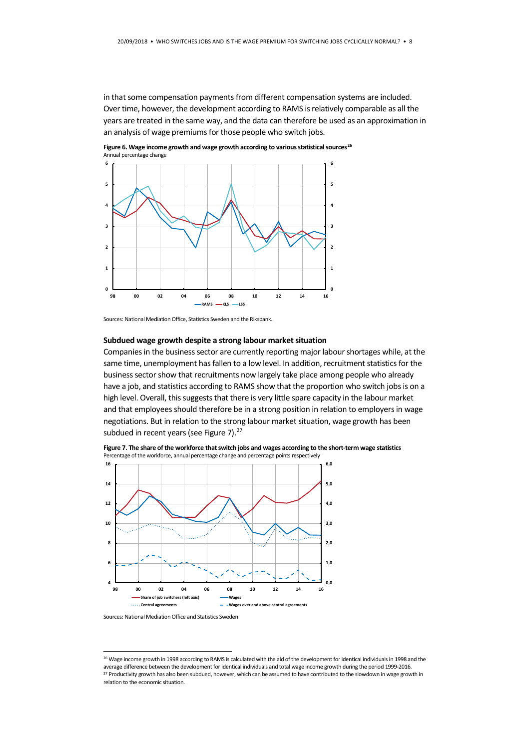in that some compensation payments from different compensation systems are included. Over time, however, the development according to RAMS is relatively comparable as all the years are treated in the same way, and the data can therefore be used as an approximation in an analysis of wage premiums for those people who switch jobs.



Figure 6. Wage income growth and wage growth according to various statistical sources<sup>26</sup> Annual percentage change

### **Subdued wage growth despite a strong labour market situation**

Companies in the business sector are currently reporting major labour shortages while, at the same time, unemployment has fallen to a low level. In addition, recruitment statistics for the business sector show that recruitments now largely take place among people who already have a job, and statistics according to RAMS show that the proportion who switch jobs is on a high level. Overall, this suggests that there is very little spare capacity in the labour market and that employees should therefore be in a strong position in relation to employers in wage negotiations. But in relation to the strong labour market situation, wage growth has been subdued in recent years (see Figure 7).<sup>[27](#page-7-1)</sup>



**Figure 7. The share of the workforce that switch jobs and wages according to the short-term wage statistics** Percentage of the workforce, annual percentage change and percentage points respectively

Sources: National Mediation Office, Statistics Sweden and the Riksbank.

Sources: National Mediation Office and Statistics Sweden

<span id="page-7-1"></span><span id="page-7-0"></span><sup>&</sup>lt;sup>26</sup> Wage income growth in 1998 according to RAMS is calculated with the aid of the development for identical individuals in 1998 and the average difference between the development for identical individuals and total wage income growth during the period 1999-2016. <sup>27</sup> Productivity growth has also been subdued, however, which can be assumed to have contributed to the slowdown in wage growth in relation to the economic situation.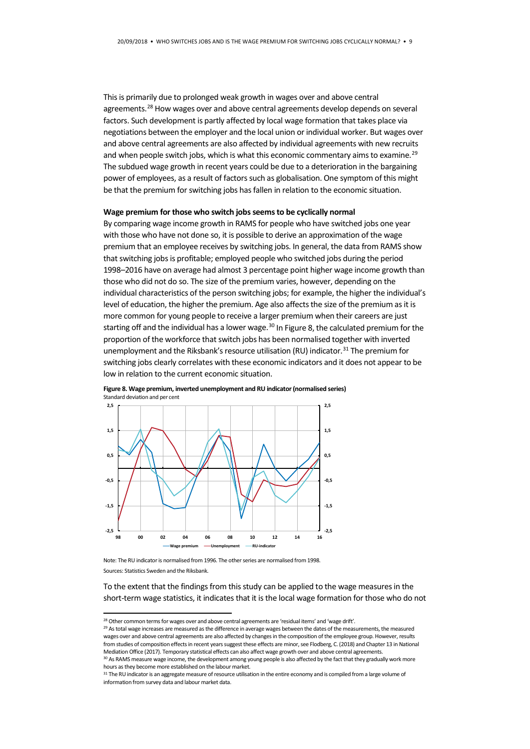This is primarily due to prolonged weak growth in wages over and above central agreements[.28](#page-8-0) How wages over and above central agreements develop depends on several factors. Such development is partly affected by local wage formation that takes place via negotiations between the employer and the local union or individual worker. But wages over and above central agreements are also affected by individual agreements with new recruits and when people switch jobs, which is what this economic commentary aims to examine.<sup>[29](#page-8-1)</sup> The subdued wage growth in recent years could be due to a deterioration in the bargaining power of employees, as a result of factors such as globalisation. One symptom of this might be that the premium for switching jobs has fallen in relation to the economic situation.

#### **Wage premium for those who switch jobs seems to be cyclically normal**

By comparing wage income growth in RAMS for people who have switched jobs one year with those who have not done so, it is possible to derive an approximation of the wage premium that an employee receives by switching jobs. In general, the data from RAMS show that switching jobs is profitable; employed people who switched jobs during the period 1998–2016 have on average had almost 3 percentage point higher wage income growth than those who did not do so. The size of the premium varies, however, depending on the individual characteristics of the person switching jobs; for example, the higher the individual's level of education, the higher the premium. Age also affects the size of the premium as it is more common for young people to receive a larger premium when their careers are just starting off and the individual has a lower wage. $30$  In Figure 8, the calculated premium for the proportion of the workforce that switch jobs has been normalised together with inverted unemployment and the Riksbank's resource utilisation (RU) indicator.<sup>31</sup> The premium for switching jobs clearly correlates with these economic indicators and it does not appear to be low in relation to the current economic situation.





Note: The RU indicator is normalised from 1996. The other series are normalised from 1998. Sources: Statistics Sweden and the Riksbank.

To the extent that the findings from this study can be applied to the wage measures in the short-term wage statistics, it indicates that it is the local wage formation for those who do not

<span id="page-8-0"></span><sup>&</sup>lt;sup>28</sup> Other common terms for wages over and above central agreements are 'residual items' and 'wage drift'.

<span id="page-8-1"></span><sup>&</sup>lt;sup>29</sup> As total wage increases are measured as the difference in average wages between the dates of the measurements, the measured wages over and above central agreements are also affected by changes in the composition of the employee group. However, results from studies of composition effects in recent years suggest these effects are minor, see Flodberg, C. (2018) and Chapter 13 in National Mediation Office (2017). Temporary statistical effects can also affect wage growth over and above central agreements.

<span id="page-8-2"></span><sup>&</sup>lt;sup>30</sup> As RAMS measure wage income, the development among young people is also affected by the fact that they gradually work more hours as they become more established on the labour market.

<span id="page-8-3"></span><sup>&</sup>lt;sup>31</sup> The RU indicator is an aggregate measure of resource utilisation in the entire economy and is compiled from a large volume of information from survey data and labour market data.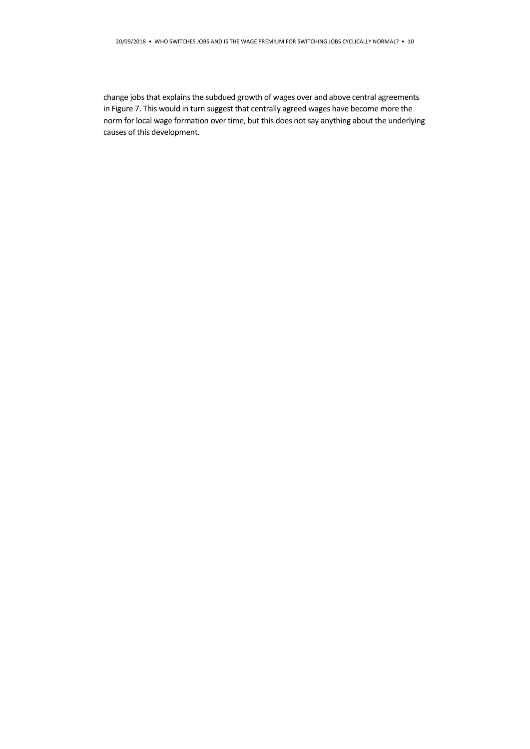change jobs that explains the subdued growth of wages over and above central agreements in Figure 7. This would in turn suggest that centrally agreed wages have become more the norm for local wage formation over time, but this does not say anything about the underlying causes of this development.